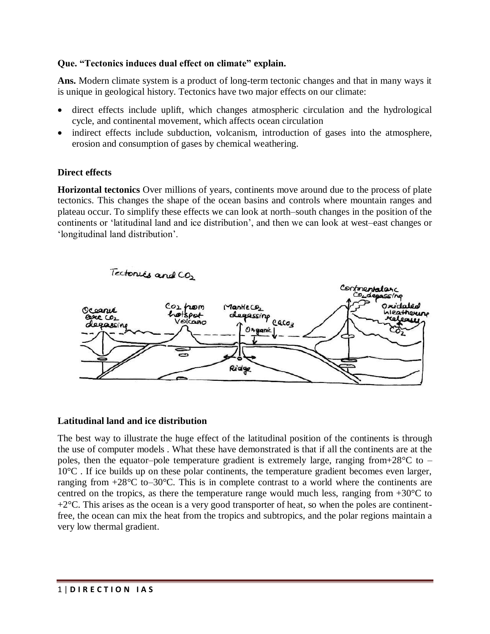# **Que. "Tectonics induces dual effect on climate" explain.**

**Ans.** Modern climate system is a product of long-term tectonic changes and that in many ways it is unique in geological history. Tectonics have two major effects on our climate:

- direct effects include uplift, which changes atmospheric circulation and the hydrological cycle, and continental movement, which affects ocean circulation
- indirect effects include subduction, volcanism, introduction of gases into the atmosphere, erosion and consumption of gases by chemical weathering.

# **Direct effects**

**Horizontal tectonics** Over millions of years, continents move around due to the process of plate tectonics. This changes the shape of the ocean basins and controls where mountain ranges and plateau occur. To simplify these effects we can look at north–south changes in the position of the continents or 'latitudinal land and ice distribution', and then we can look at west–east changes or 'longitudinal land distribution'.



# **Latitudinal land and ice distribution**

The best way to illustrate the huge effect of the latitudinal position of the continents is through the use of computer models . What these have demonstrated is that if all the continents are at the poles, then the equator–pole temperature gradient is extremely large, ranging from+28 $\degree$ C to – 10°C . If ice builds up on these polar continents, the temperature gradient becomes even larger, ranging from  $+28^{\circ}$ C to–30 $^{\circ}$ C. This is in complete contrast to a world where the continents are centred on the tropics, as there the temperature range would much less, ranging from  $+30^{\circ}$ C to  $+2^{\circ}$ C. This arises as the ocean is a very good transporter of heat, so when the poles are continentfree, the ocean can mix the heat from the tropics and subtropics, and the polar regions maintain a very low thermal gradient.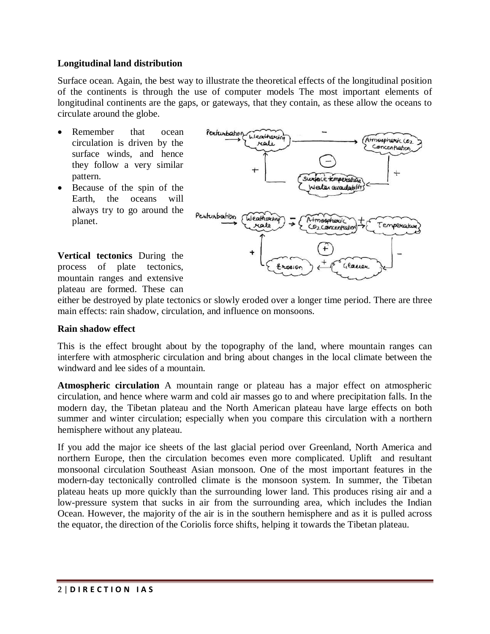### **Longitudinal land distribution**

Surface ocean. Again, the best way to illustrate the theoretical effects of the longitudinal position of the continents is through the use of computer models The most important elements of longitudinal continents are the gaps, or gateways, that they contain, as these allow the oceans to circulate around the globe.

- Remember that ocean circulation is driven by the surface winds, and hence they follow a very similar pattern.
- Because of the spin of the Earth, the oceans will always try to go around the planet.

**Vertical tectonics** During the process of plate tectonics, mountain ranges and extensive plateau are formed. These can



either be destroyed by plate tectonics or slowly eroded over a longer time period. There are three main effects: rain shadow, circulation, and influence on monsoons.

#### **Rain shadow effect**

This is the effect brought about by the topography of the land, where mountain ranges can interfere with atmospheric circulation and bring about changes in the local climate between the windward and lee sides of a mountain.

**Atmospheric circulation** A mountain range or plateau has a major effect on atmospheric circulation, and hence where warm and cold air masses go to and where precipitation falls. In the modern day, the Tibetan plateau and the North American plateau have large effects on both summer and winter circulation; especially when you compare this circulation with a northern hemisphere without any plateau.

If you add the major ice sheets of the last glacial period over Greenland, North America and northern Europe, then the circulation becomes even more complicated. Uplift and resultant monsoonal circulation Southeast Asian monsoon. One of the most important features in the modern-day tectonically controlled climate is the monsoon system. In summer, the Tibetan plateau heats up more quickly than the surrounding lower land. This produces rising air and a low-pressure system that sucks in air from the surrounding area, which includes the Indian Ocean. However, the majority of the air is in the southern hemisphere and as it is pulled across the equator, the direction of the Coriolis force shifts, helping it towards the Tibetan plateau.